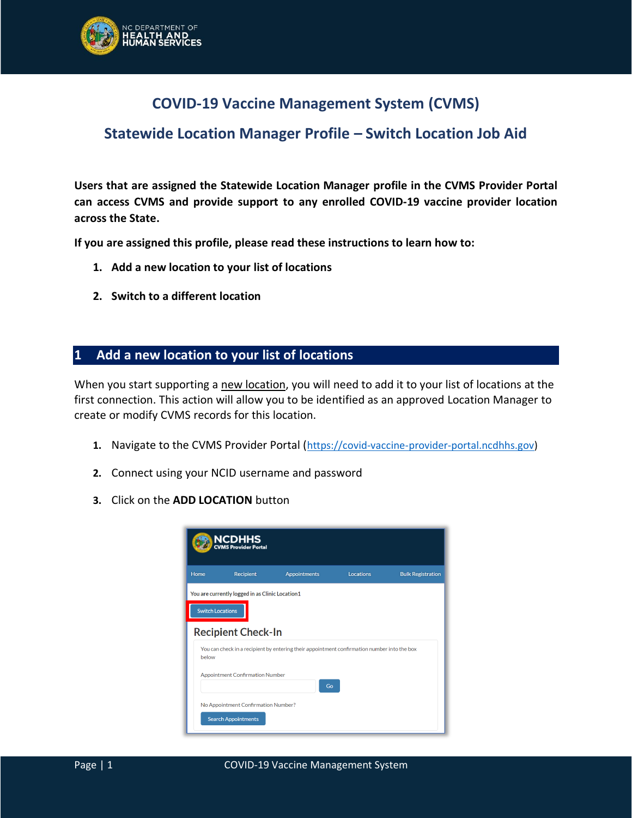

## **COVID-19 Vaccine Management System (CVMS)**

## **Statewide Location Manager Profile – Switch Location Job Aid**

**Users that are assigned the Statewide Location Manager profile in the CVMS Provider Portal can access CVMS and provide support to any enrolled COVID-19 vaccine provider location across the State.**

**If you are assigned this profile, please read these instructions to learn how to:**

- **1. Add a new location to your list of locations**
- **2. Switch to a different location**

## **1 Add a new location to your list of locations**

When you start supporting a new location, you will need to add it to your list of locations at the first connection. This action will allow you to be identified as an approved Location Manager to create or modify CVMS records for this location.

- **1.** Navigate to the CVMS Provider Portal ([https://covid-vaccine-provider-portal.ncdhhs.gov\)](https://covid-vaccine-provider-portal.ncdhhs.gov/)
- **2.** Connect using your NCID username and password
- **3.** Click on the **ADD LOCATION** button

|                         | <b>NCDHHS</b><br><b>CVMS Provider Portal</b>    |                                                                                             |           |                          |
|-------------------------|-------------------------------------------------|---------------------------------------------------------------------------------------------|-----------|--------------------------|
| Home                    | <b>Recipient</b>                                | <b>Appointments</b>                                                                         | Locations | <b>Bulk Registration</b> |
|                         | You are currently logged in as Clinic Location1 |                                                                                             |           |                          |
|                         |                                                 |                                                                                             |           |                          |
| <b>Switch Locations</b> |                                                 |                                                                                             |           |                          |
|                         |                                                 |                                                                                             |           |                          |
|                         | <b>Recipient Check-In</b>                       |                                                                                             |           |                          |
| below                   |                                                 | You can check in a recipient by entering their appointment confirmation number into the box |           |                          |
|                         |                                                 |                                                                                             |           |                          |
|                         | <b>Appointment Confirmation Number</b>          | Go                                                                                          |           |                          |
|                         | No Appointment Confirmation Number?             |                                                                                             |           |                          |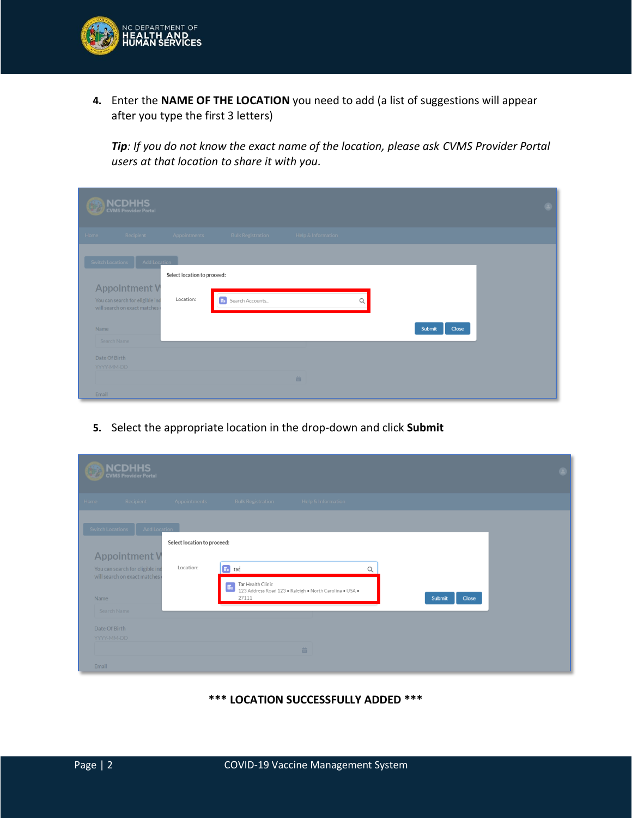

**4.** Enter the **NAME OF THE LOCATION** you need to add (a list of suggestions will appear after you type the first 3 letters)

*Tip: If you do not know the exact name of the location, please ask CVMS Provider Portal users at that location to share it with you.*

| <b>NCDHHS</b><br><b>CVMS Provider Portal</b>                                |                                                                 |                                   |                    |   |                 |  |
|-----------------------------------------------------------------------------|-----------------------------------------------------------------|-----------------------------------|--------------------|---|-----------------|--|
| Home<br>Recipient                                                           | Appointments                                                    | <b>Bulk Registration</b>          | Help & Information |   |                 |  |
| Switch Locations<br><b>Appointment V</b><br>You can search for eligible inc | <b>Add Location</b><br>Select location to proceed:<br>Location: | F <sub>o</sub><br>Search Accounts |                    | Q |                 |  |
| will search on exact matches<br>Name<br>Search Name                         |                                                                 |                                   |                    |   | Submit<br>Close |  |
| Date Of Birth<br>YYYY-MM-DD<br>Email                                        |                                                                 |                                   | 苗                  |   |                 |  |

**5.** Select the appropriate location in the drop-down and click **Submit**

| <b>NCDHHS</b><br><b>CVMS Provider Portal</b>                                                                                                                     |                                          |                                                                                                                                      |          |                 | $\bullet$ |
|------------------------------------------------------------------------------------------------------------------------------------------------------------------|------------------------------------------|--------------------------------------------------------------------------------------------------------------------------------------|----------|-----------------|-----------|
| Recipient<br>Home                                                                                                                                                | Appointments                             | <b>Bulk Registration</b><br>Help & Information                                                                                       |          |                 |           |
| <b>Add Location</b><br><b>Switch Locations</b><br><b>Appointment V</b><br>You can search for eligible ind<br>will search on exact matches<br>Name<br>Search Name | Select location to proceed:<br>Location: | $\boxed{\mathbb{F}_{\mathbb{D}}}$ tar<br>Tar Health Clinic<br>T.<br>123 Address Road 123 . Raleigh . North Carolina . USA .<br>27111 | $\alpha$ | Submit<br>Close |           |
| Date Of Birth<br>YYYY-MM-DD<br>Email                                                                                                                             |                                          | 苗                                                                                                                                    |          |                 |           |

**\*\*\* LOCATION SUCCESSFULLY ADDED \*\*\***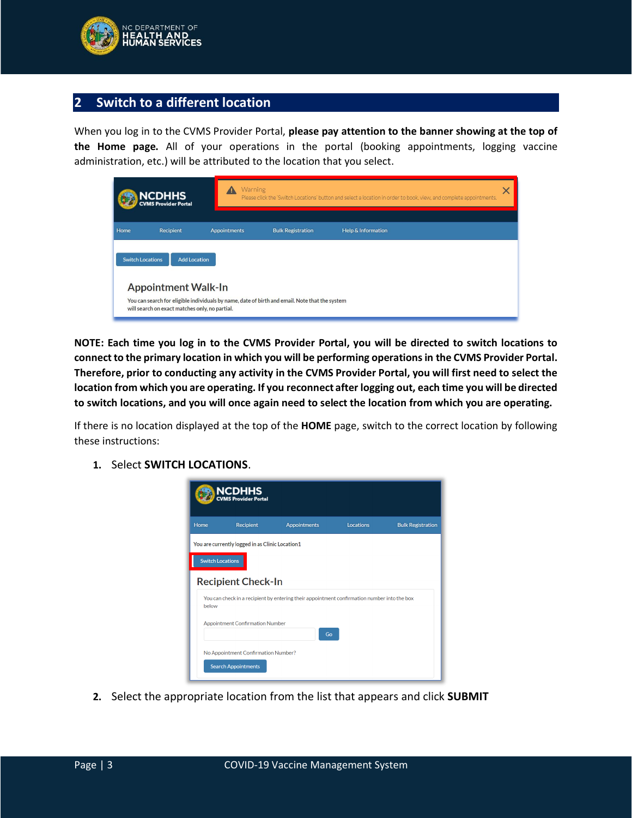

## **2 Switch to a different location**

When you log in to the CVMS Provider Portal, **please pay attention to the banner showing at the top of the Home page.** All of your operations in the portal (booking appointments, logging vaccine administration, etc.) will be attributed to the location that you select.

| NCDHHS<br>CVMS Provider Portal                                                                                                                                                                                            |                     | <b>Warning</b><br>X<br>Please click the 'Switch Locations' button and select a location in order to book, view, and complete appointments. |                    |  |  |  |
|---------------------------------------------------------------------------------------------------------------------------------------------------------------------------------------------------------------------------|---------------------|--------------------------------------------------------------------------------------------------------------------------------------------|--------------------|--|--|--|
| Recipient<br>Home                                                                                                                                                                                                         | <b>Appointments</b> | <b>Bulk Registration</b>                                                                                                                   | Help & Information |  |  |  |
| <b>Switch Locations</b><br>Add Location<br><b>Appointment Walk-In</b><br>You can search for eligible individuals by name, date of birth and email. Note that the system<br>will search on exact matches only, no partial. |                     |                                                                                                                                            |                    |  |  |  |

**NOTE: Each time you log in to the CVMS Provider Portal, you will be directed to switch locations to connect to the primary location in which you will be performing operations in the CVMS Provider Portal. Therefore, prior to conducting any activity in the CVMS Provider Portal, you will first need to select the location from which you are operating. If you reconnect after logging out, each time you will be directed to switch locations, and you will once again need to select the location from which you are operating.**

If there is no location displayed at the top of the **HOME** page, switch to the correct location by following these instructions:

|                                                                                                      | NCDHHS<br>CVMS Provider Portal                  |                     |                  |                          |  |  |  |
|------------------------------------------------------------------------------------------------------|-------------------------------------------------|---------------------|------------------|--------------------------|--|--|--|
| Home                                                                                                 | <b>Recipient</b>                                | <b>Appointments</b> | <b>Locations</b> | <b>Bulk Registration</b> |  |  |  |
|                                                                                                      | You are currently logged in as Clinic Location1 |                     |                  |                          |  |  |  |
| <b>Switch Locations</b>                                                                              |                                                 |                     |                  |                          |  |  |  |
|                                                                                                      | <b>Recipient Check-In</b>                       |                     |                  |                          |  |  |  |
| You can check in a recipient by entering their appointment confirmation number into the box<br>below |                                                 |                     |                  |                          |  |  |  |
| <b>Appointment Confirmation Number</b><br>Go                                                         |                                                 |                     |                  |                          |  |  |  |
| No Appointment Confirmation Number?                                                                  |                                                 |                     |                  |                          |  |  |  |
|                                                                                                      | <b>Search Appointments</b>                      |                     |                  |                          |  |  |  |

**1.** Select **SWITCH LOCATIONS**.

**2.** Select the appropriate location from the list that appears and click **SUBMIT**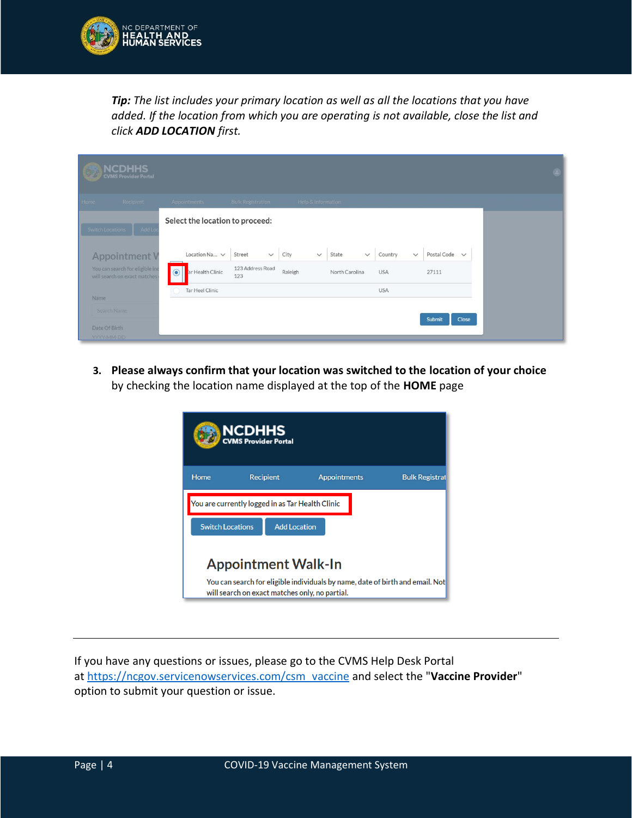

*Tip: The list includes your primary location as well as all the locations that you have added. If the location from which you are operating is not available, close the list and click ADD LOCATION first.*

| <b>NCDHHS</b><br><b>CVMS Provider Portal</b>                    |                                 |                          |                      |                       |                         |                             |  |
|-----------------------------------------------------------------|---------------------------------|--------------------------|----------------------|-----------------------|-------------------------|-----------------------------|--|
| Home<br>Recipient                                               | Appointments                    | <b>Bulk Registration</b> | Help & Information   |                       |                         |                             |  |
| Add Lor<br>Switch Locations                                     | Select the location to proceed: |                          |                      |                       |                         |                             |  |
| <b>Appointment V</b>                                            | Location Na V                   | Street<br>$\checkmark$   | City<br>$\checkmark$ | State<br>$\checkmark$ | Country<br>$\checkmark$ | Postal Code<br>$\checkmark$ |  |
| You can search for eligible inc<br>will search on exact matches | ar Health Clinic<br>$\odot$     | 123 Address Road<br>123  | Raleigh              | North Carolina        | <b>USA</b>              | 27111                       |  |
| Name                                                            | Tar Heel Clinic                 |                          |                      |                       | <b>USA</b>              |                             |  |
| Search Name<br>Date Of Birth<br>YYYY-MM-DD                      |                                 |                          |                      |                       |                         | Submit<br>Close             |  |

**3. Please always confirm that your location was switched to the location of your choice** by checking the location name displayed at the top of the **HOME** page

| <b>NCDHHS</b><br>CVMS Provider Portal                                                                                           |                     |                     |                       |  |  |  |
|---------------------------------------------------------------------------------------------------------------------------------|---------------------|---------------------|-----------------------|--|--|--|
| Home                                                                                                                            | <b>Recipient</b>    | <b>Appointments</b> | <b>Bulk Registrat</b> |  |  |  |
| You are currently logged in as Tar Health Clinic                                                                                |                     |                     |                       |  |  |  |
| <b>Switch Locations</b>                                                                                                         | <b>Add Location</b> |                     |                       |  |  |  |
| <b>Appointment Walk-In</b>                                                                                                      |                     |                     |                       |  |  |  |
| You can search for eligible individuals by name, date of birth and email. Not<br>will search on exact matches only, no partial. |                     |                     |                       |  |  |  |

If you have any questions or issues, please go to the CVMS Help Desk Portal at [https://ncgov.servicenowservices.com/csm\\_vaccine](https://ncgov.servicenowservices.com/csm_vaccine) and select the "**Vaccine Provider**" option to submit your question or issue.